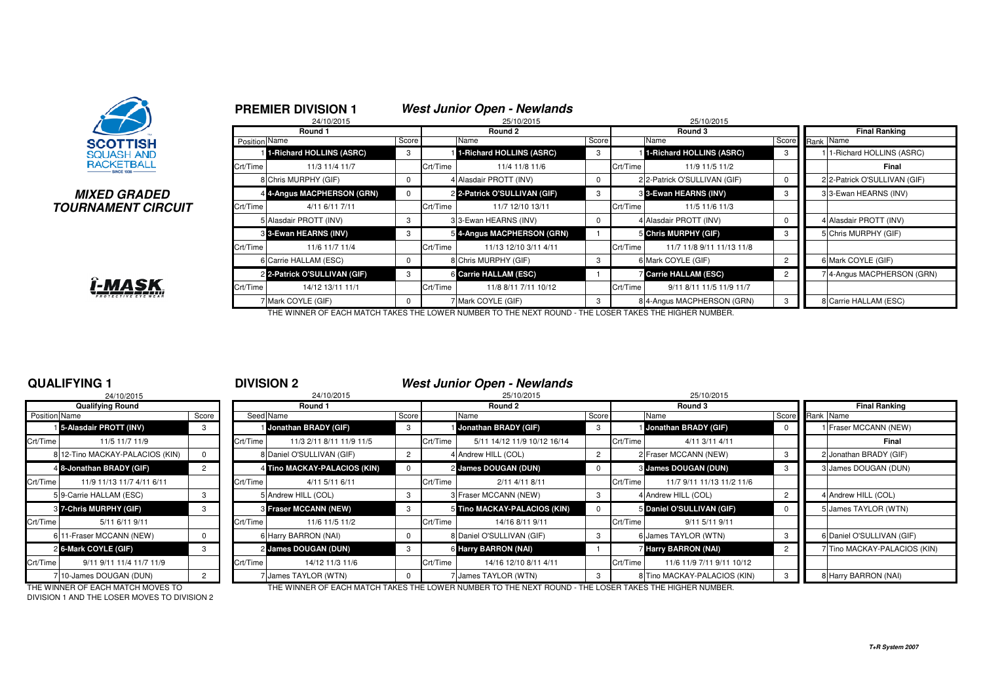

### **MIXED GRADEDTOURNAMENT CIRCUIT**

i-MAS

|               | 24/10/2015                   |             |          | 25/10/2015                   |       |                              | 25/10/2015                   |                 |                              |
|---------------|------------------------------|-------------|----------|------------------------------|-------|------------------------------|------------------------------|-----------------|------------------------------|
|               | Round 1                      |             |          | Round 2                      |       |                              | Round 3                      |                 | <b>Final Ranking</b>         |
| Position Name |                              | Score       |          | Name                         | Score | Name                         |                              | Score Rank Name |                              |
|               | 1-Richard HOLLINS (ASRC)     | 3           |          | 1-Richard HOLLINS (ASRC)     | 3     |                              | 1-Richard HOLLINS (ASRC)     | 3               | 1-Richard HOLLINS (ASRC)     |
| Crt/Time      | 11/3 11/4 11/7               |             | Crt/Time | 11/4 11/8 11/6               |       | Crt/Time                     | 11/9 11/5 11/2               |                 | Final                        |
|               | 8 Chris MURPHY (GIF)         |             |          | 4 Alasdair PROTT (INV)       |       |                              | 2 2-Patrick O'SULLIVAN (GIF) |                 | 2 2-Patrick O'SULLIVAN (GIF) |
|               | 4 4-Angus MACPHERSON (GRN)   | $\mathbf 0$ |          | 2 2-Patrick O'SULLIVAN (GIF) | 3     | <b>3 3-Ewan HEARNS (INV)</b> |                              | 3               | 3 3-Ewan HEARNS (INV)        |
| Crt/Time      | 4/11 6/11 7/11               |             | Crt/Time | 11/7 12/10 13/11             |       | Crt/Time                     | 11/5 11/6 11/3               |                 |                              |
|               | 5 Alasdair PROTT (INV)       |             |          | 33-Ewan HEARNS (INV)         |       | 4 Alasdair PROTT (INV)       |                              |                 | 4 Alasdair PROTT (INV)       |
|               | 3 3-Ewan HEARNS (INV)        | 3           |          | 5 4-Angus MACPHERSON (GRN)   |       | 5 Chris MURPHY (GIF)         |                              | 3               | 5 Chris MURPHY (GIF)         |
| Crt/Time      | 11/6 11/7 11/4               |             | Crt/Time | 11/13 12/10 3/11 4/11        |       | Crt/Time                     | 11/7 11/8 9/11 11/13 11/8    |                 |                              |
|               | 6 Carrie HALLAM (ESC)        |             |          | 8 Chris MURPHY (GIF)         |       | 6 Mark COYLE (GIF)           |                              | $\overline{2}$  | 6 Mark COYLE (GIF)           |
|               | 2 2-Patrick O'SULLIVAN (GIF) | 3           |          | 6 Carrie HALLAM (ESC)        |       | <b>7 Carrie HALLAM (ESC)</b> |                              | $\overline{2}$  | 74-Angus MACPHERSON (GRN)    |
| Crt/Time      | 14/12 13/11 11/1             |             | Crt/Time | 11/8 8/11 7/11 10/12         |       | Crt/Time                     | 9/11 8/11 11/5 11/9 11/7     |                 |                              |
|               | 7 Mark COYLE (GIF)           |             |          | 7 Mark COYLE (GIF)           |       |                              | 8 4-Angus MACPHERSON (GRN)   |                 | 8 Carrie HALLAM (ESC)        |

THE WINNER OF EACH MATCH TAKES THE LOWER NUMBER TO THE NEXT ROUND - THE LOSER TAKES THE HIGHER NUMBER.

### **QUALIFYING 1**

|               | <b>Qualifying Round</b>       |       |          |
|---------------|-------------------------------|-------|----------|
| Position Name |                               | Score | Seed     |
|               | 5-Alasdair PROTT (INV)        | 3     |          |
| Crt/Time      | 11/5 11/7 11/9                |       | Crt/Time |
| 8             | 12-Tino MACKAY-PALACIOS (KIN) | 0     | 8        |
|               | 4 8-Jonathan BRADY (GIF)      | 2     | 4        |
| Crt/Time      | 11/9 11/13 11/7 4/11 6/11     |       | Crt/Time |
|               | 59-Carrie HALLAM (ESC)        | 3     | 5        |
|               | <b>8 7-Chris MURPHY (GIF)</b> | 3     | 3        |
| Crt/Time      | 5/11 6/11 9/11                |       | Crt/Time |
| 6             | 11-Fraser MCCANN (NEW)        | O     | 6        |
|               | 26-Mark COYLE (GIF)           | 3     | 2        |
| Crt/Time      | 9/11 9/11 11/4 11/7 11/9      |       | Crt/Time |
| 7             | 10-James DOUGAN (DUN)         | 2     | 7        |

## <sup>1</sup> **DIVISION 2 West Junior Open - Newlands**

**PREMIER DIVISION 1 West Junior Open - Newlands**

| 24/10/2015                      |                                   |           | 24/10/2015      |                                                                                                                                                                                                                                              |         | 25/10/2015                                   |                                                                                                                                                                                                           |          | 25/10/2015                |                                                                                                                                                                                                                                                                                                                         |                              |  |
|---------------------------------|-----------------------------------|-----------|-----------------|----------------------------------------------------------------------------------------------------------------------------------------------------------------------------------------------------------------------------------------------|---------|----------------------------------------------|-----------------------------------------------------------------------------------------------------------------------------------------------------------------------------------------------------------|----------|---------------------------|-------------------------------------------------------------------------------------------------------------------------------------------------------------------------------------------------------------------------------------------------------------------------------------------------------------------------|------------------------------|--|
| <b>Qualifying Round</b>         |                                   |           | Round 1         |                                                                                                                                                                                                                                              | Round 2 |                                              |                                                                                                                                                                                                           |          | Round 3                   |                                                                                                                                                                                                                                                                                                                         | <b>Final Ranking</b>         |  |
| Position Name                   | Score                             | Seed Name |                 | Score                                                                                                                                                                                                                                        |         | Name                                         | Score                                                                                                                                                                                                     |          |                           |                                                                                                                                                                                                                                                                                                                         | Score Rank Name              |  |
| 15-Alasdair PROTT (INV)         |                                   |           |                 | -3                                                                                                                                                                                                                                           |         |                                              | -3                                                                                                                                                                                                        |          |                           |                                                                                                                                                                                                                                                                                                                         | 1 Fraser MCCANN (NEW)        |  |
| 11/5 11/7 11/9                  |                                   | Crt/Time  |                 |                                                                                                                                                                                                                                              |         | 5/11 14/12 11/9 10/12 16/14                  |                                                                                                                                                                                                           |          | 4/11 3/11 4/11            |                                                                                                                                                                                                                                                                                                                         | Final                        |  |
| 8 12-Tino MACKAY-PALACIOS (KIN) |                                   |           |                 |                                                                                                                                                                                                                                              |         |                                              |                                                                                                                                                                                                           |          |                           |                                                                                                                                                                                                                                                                                                                         | 2 Jonathan BRADY (GIF)       |  |
| 4 8-Jonathan BRADY (GIF)        |                                   |           |                 |                                                                                                                                                                                                                                              |         |                                              |                                                                                                                                                                                                           |          |                           |                                                                                                                                                                                                                                                                                                                         | 3 James DOUGAN (DUN)         |  |
| 11/9 11/13 11/7 4/11 6/11       |                                   | Crt/Time  | 4/11 5/11 6/11  |                                                                                                                                                                                                                                              |         | 2/11 4/11 8/11                               |                                                                                                                                                                                                           | Crt/Time | 11/7 9/11 11/13 11/2 11/6 |                                                                                                                                                                                                                                                                                                                         |                              |  |
| 5 9-Carrie HALLAM (ESC)         |                                   |           |                 |                                                                                                                                                                                                                                              |         |                                              |                                                                                                                                                                                                           |          |                           |                                                                                                                                                                                                                                                                                                                         | 4 Andrew HILL (COL)          |  |
| 3 7-Chris MURPHY (GIF)          |                                   |           |                 |                                                                                                                                                                                                                                              |         |                                              |                                                                                                                                                                                                           |          |                           |                                                                                                                                                                                                                                                                                                                         | 5 James TAYLOR (WTN)         |  |
| 5/11 6/11 9/11                  |                                   | Crt/Time  | 11/6 11/5 11/2  |                                                                                                                                                                                                                                              |         | 14/16 8/11 9/11                              |                                                                                                                                                                                                           | Crt/Time | 9/11 5/11 9/11            |                                                                                                                                                                                                                                                                                                                         |                              |  |
| 6 11-Fraser MCCANN (NEW)        |                                   |           |                 |                                                                                                                                                                                                                                              |         |                                              |                                                                                                                                                                                                           |          |                           |                                                                                                                                                                                                                                                                                                                         | 6 Daniel O'SULLIVAN (GIF)    |  |
| 26-Mark COYLE (GIF)             |                                   |           |                 |                                                                                                                                                                                                                                              |         |                                              |                                                                                                                                                                                                           |          |                           | $\overline{2}$                                                                                                                                                                                                                                                                                                          | 7 Tino MACKAY-PALACIOS (KIN) |  |
| 9/11 9/11 11/4 11/7 11/9        |                                   | Crt/Time  | 14/12 11/3 11/6 |                                                                                                                                                                                                                                              |         | 14/16 12/10 8/11 4/11                        |                                                                                                                                                                                                           |          | 11/6 11/9 7/11 9/11 10/12 |                                                                                                                                                                                                                                                                                                                         |                              |  |
| 710-James DOUGAN (DUN)          |                                   |           |                 |                                                                                                                                                                                                                                              |         |                                              |                                                                                                                                                                                                           |          |                           |                                                                                                                                                                                                                                                                                                                         | 8 Harry BARRON (NAI)         |  |
|                                 | THE WINNER OF EACH MATCH MOVES TO |           |                 | Jonathan BRADY (GIF)<br>11/3 2/11 8/11 11/9 11/5<br>8 Daniel O'SULLIVAN (GIF)<br>4 Tino MACKAY-PALACIOS (KIN)<br>5 Andrew HILL (COL)<br><b>3 Fraser MCCANN (NEW)</b><br>6 Harry BARRON (NAI)<br>2 James DOUGAN (DUN)<br>7 James TAYLOR (WTN) |         | Crt/Time<br>Crt/Time<br>Crt/Time<br>Crt/Time | Jonathan BRADY (GIF)<br>4 Andrew HILL (COL)<br>2 James DOUGAN (DUN)<br>3 Fraser MCCANN (NEW)<br>5 Tino MACKAY-PALACIOS (KIN)<br>8 Daniel O'SULLIVAN (GIF)<br>6 Harry BARRON (NAI)<br>7 James TAYLOR (WTN) |          | Crt/Time<br>Crt/Time      | Name<br>Jonathan BRADY (GIF)<br>2 Fraser MCCANN (NEW)<br>3 James DOUGAN (DUN)<br>4 Andrew HILL (COL)<br>5 Daniel O'SULLIVAN (GIF)<br>6 James TAYLOR (WTN)<br>Harry BARRON (NAI)<br>8 Tino MACKAY-PALACIOS (KIN)<br>THE WINNER OF EACH MATCH TAKES THE LOWER NUMBER TO THE NEVT ROUND. THE LOSER TAKES THE HIGHER NUMBER |                              |  |

DIVISION 1 AND THE LOSER MOVES TO DIVISION 2

THE WINNER OF EACH MATCH MOVES TO THE WINNER OF EACH MATCH TAKES THE LOWER NUMBER TO THE NEXT ROUND - THE LOSER TAKES THE HIGHER NUMBER.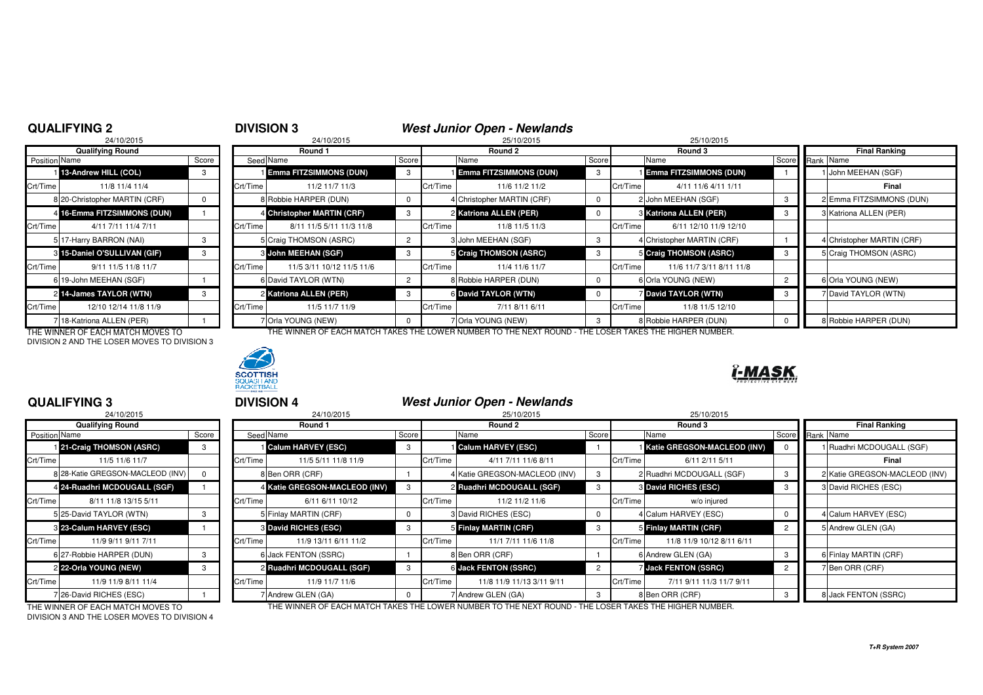### **QUALIFYING 2**

**QUALIFYING 3**

# <sup>2</sup> **DIVISION 3 West Junior Open - Newlands**

5 25/10/2015 25/10/2015 25/10/2015 25/10/2015 25/10/2015 25/10/2015

## 24/10/2015

|               | <b>Qualifying Round</b>       |       |          |
|---------------|-------------------------------|-------|----------|
| Position Name |                               | Score | Seed     |
|               | 13-Andrew HILL (COL)          | 3     |          |
| Crt/Time      | 11/8 11/4 11/4                |       | Crt/Time |
|               | 8 20-Christopher MARTIN (CRF) | O     | 8        |
|               | 4 16-Emma FITZSIMMONS (DUN)   |       | 4        |
| Crt/Time      | 4/11 7/11 11/4 7/11           |       | Crt/Time |
|               | 5 17-Harry BARRON (NAI)       | 3     | 5        |
|               | 8 15-Daniel O'SULLIVAN (GIF)  | 3     | 3        |
| Crt/Time      | 9/11 11/5 11/8 11/7           |       | Crt/Time |
|               | 6 19-John MEEHAN (SGF)        |       | 6        |
|               | 214-James TAYLOR (WTN)        | 3     | 2        |
| Crt/Time      | 12/10 12/14 11/8 11/9         |       | Crt/Time |
|               | 18-Katriona ALLEN (PER)       |       |          |

DIVISION 2 AND THE LOSER MOVES TO DIVISION 3



|               | Qualifying Round              |       |          | Round 1                       |       |          | Round 2                         |       | Round 3  |                               | <b>Final Ranking</b> |                            |
|---------------|-------------------------------|-------|----------|-------------------------------|-------|----------|---------------------------------|-------|----------|-------------------------------|----------------------|----------------------------|
| Position Name |                               | Score |          | Seed Name                     | Score |          | Name                            | Score |          | Name                          |                      | Score Rank Name            |
|               | 113-Andrew HILL (COL)         |       |          | <b>Emma FITZSIMMONS (DUN)</b> | -3    |          | <b>I Emma FITZSIMMONS (DUN)</b> |       |          | <b>Emma FITZSIMMONS (DUN)</b> |                      | 1 John MEEHAN (SGF)        |
| Crt/Time      | 11/8 11/4 11/4                |       | Crt/Time | 11/2 11/7 11/3                |       | Crt/Time | 11/6 11/2 11/2                  |       | Crt/Time | 4/11 11/6 4/11 1/11           |                      | Final                      |
|               | 8 20-Christopher MARTIN (CRF) |       |          | 8 Robbie HARPER (DUN)         |       |          | 4 Christopher MARTIN (CRF)      |       |          | 2 John MEEHAN (SGF)           |                      | 2 Emma FITZSIMMONS (DUN)   |
|               | 4 16-Emma FITZSIMMONS (DUN)   |       |          | 4 Christopher MARTIN (CRF)    |       |          | 2 Katriona ALLEN (PER)          |       |          | 3 Katriona ALLEN (PER)        |                      | 3 Katriona ALLEN (PER)     |
| Crt/Time      | 4/11 7/11 11/4 7/11           |       | Crt/Time | 8/11 11/5 5/11 11/3 11/8      |       | Crt/Time | 11/8 11/5 11/3                  |       | Crt/Time | 6/11 12/10 11/9 12/10         |                      |                            |
|               | 5 17-Harry BARRON (NAI)       |       |          | 5 Craig THOMSON (ASRC)        |       |          | John MEEHAN (SGF)               |       |          | 4 Christopher MARTIN (CRF)    |                      | 4 Christopher MARTIN (CRF) |
|               | 3 15-Daniel O'SULLIVAN (GIF)  |       |          | <b>8 John MEEHAN (SGF)</b>    |       |          | 5 Craig THOMSON (ASRC)          |       |          | 5 Craig THOMSON (ASRC)        |                      | 5 Craig THOMSON (ASRC)     |
| Crt/Time      | 9/11 11/5 11/8 11/7           |       | Crt/Time | 11/5 3/11 10/12 11/5 11/6     |       | Crt/Time | 11/4 11/6 11/7                  |       | Crt/Time | 11/6 11/7 3/11 8/11 11/8      |                      |                            |
|               | 6 19-John MEEHAN (SGF)        |       |          | 6 David TAYLOR (WTN)          |       |          | 8 Robbie HARPER (DUN)           |       |          | 6 Orla YOUNG (NEW)            |                      | 6 Orla YOUNG (NEW)         |
|               | 2 14-James TAYLOR (WTN)       |       |          | 2 Katriona ALLEN (PER)        |       |          | 6 David TAYLOR (WTN)            |       |          | <b>David TAYLOR (WTN)</b>     |                      | 7 David TAYLOR (WTN)       |
| Crt/Time      | 12/10 12/14 11/8 11/9         |       | Crt/Time | 11/5 11/7 11/9                |       | Crt/Time | 7/11 8/11 6/11                  |       | Crt/Time | 11/8 11/5 12/10               |                      |                            |
|               | 718-Katriona ALLEN (PER)      |       |          | 7 Orla YOUNG (NEW)            |       |          | 7 Orla YOUNG (NEW)              |       |          | 8 Robbie HARPER (DUN)         |                      | 8 Robbie HARPER (DUN)      |

THE WINNER OF EACH MATCH MOVES TO THE WINNER OF EACH MATCH TAKES THE LOWER NUMBER TO THE NEXT ROUND - THE LOSER TAKES THE HIGHER NUMBER.



## <sup>3</sup> **DIVISION 4 West Junior Open - Newlands**

|               | 24/10/2015                       |       |                |
|---------------|----------------------------------|-------|----------------|
|               | <b>Qualifying Round</b>          |       |                |
| Position Name |                                  | Score | Seed           |
|               | 21-Craig THOMSON (ASRC)          | 3     |                |
| Crt/Time      | 11/5 11/6 11/7                   |       | Crt/Time       |
|               | 8 28-Katie GREGSON-MACLEOD (INV) | 0     | 8              |
|               | 4 24-Ruadhri MCDOUGALL (SGF)     |       | 4              |
| Crt/Time      | 8/11 11/8 13/15 5/11             |       | Crt/Time       |
|               | 5 25-David TAYLOR (WTN)          | 3     | 5              |
|               | 8 23-Calum HARVEY (ESC)          |       | 3              |
| Crt/Time      | 11/9 9/11 9/11 7/11              |       | Crt/Time       |
|               | 6 27-Robbie HARPER (DUN)         | 3     | 6              |
|               | 2 22-Orla YOUNG (NEW)            | 3     | $\overline{2}$ |
| Crt/Time      | 11/9 11/9 8/11 11/4              |       | Crt/Time       |
|               | 7 26-David RICHES (ESC)          |       |                |

| 24/10/2015                   |       |                                  | 24/10/2015           |                                                                                                                                                                                                                                                                          | 25/10/2015                |                                                                                                                                                                                                                                                                  | 25/10/2015                                            |                                                                                                                                                                                                                               |                               |
|------------------------------|-------|----------------------------------|----------------------|--------------------------------------------------------------------------------------------------------------------------------------------------------------------------------------------------------------------------------------------------------------------------|---------------------------|------------------------------------------------------------------------------------------------------------------------------------------------------------------------------------------------------------------------------------------------------------------|-------------------------------------------------------|-------------------------------------------------------------------------------------------------------------------------------------------------------------------------------------------------------------------------------|-------------------------------|
| <b>Qualifying Round</b>      |       | Round 1                          |                      |                                                                                                                                                                                                                                                                          | Round 2                   |                                                                                                                                                                                                                                                                  | Round 3                                               |                                                                                                                                                                                                                               | <b>Final Ranking</b>          |
| Position Name                | Score |                                  |                      |                                                                                                                                                                                                                                                                          | Name                      |                                                                                                                                                                                                                                                                  |                                                       |                                                                                                                                                                                                                               | Score Rank Name               |
| 121-Craig THOMSON (ASRC)     |       |                                  |                      | 3                                                                                                                                                                                                                                                                        |                           |                                                                                                                                                                                                                                                                  |                                                       |                                                                                                                                                                                                                               | Ruadhri MCDOUGALL (SGF)       |
| 11/5 11/6 11/7               |       |                                  | 11/5 5/11 11/8 11/9  |                                                                                                                                                                                                                                                                          | 4/11 7/11 11/6 8/11       |                                                                                                                                                                                                                                                                  | 6/11 2/11 5/11                                        |                                                                                                                                                                                                                               | Final                         |
|                              |       |                                  |                      |                                                                                                                                                                                                                                                                          |                           |                                                                                                                                                                                                                                                                  |                                                       |                                                                                                                                                                                                                               | 2 Katie GREGSON-MACLEOD (INV) |
| 4 24-Ruadhri MCDOUGALL (SGF) |       |                                  |                      |                                                                                                                                                                                                                                                                          |                           |                                                                                                                                                                                                                                                                  |                                                       | 3                                                                                                                                                                                                                             | 3 David RICHES (ESC)          |
| 8/11 11/8 13/15 5/11         |       |                                  | 6/11 6/11 10/12      |                                                                                                                                                                                                                                                                          | 11/2 11/2 11/6            |                                                                                                                                                                                                                                                                  | w/o injured                                           |                                                                                                                                                                                                                               |                               |
| 5 25-David TAYLOR (WTN)      |       |                                  |                      | $\mathbf 0$                                                                                                                                                                                                                                                              |                           |                                                                                                                                                                                                                                                                  |                                                       |                                                                                                                                                                                                                               | 4 Calum HARVEY (ESC)          |
| 8 23-Calum HARVEY (ESC)      |       |                                  |                      | 3                                                                                                                                                                                                                                                                        |                           |                                                                                                                                                                                                                                                                  |                                                       | $\overline{2}$                                                                                                                                                                                                                | 5 Andrew GLEN (GA)            |
| 11/9 9/11 9/11 7/11          |       |                                  | 11/9 13/11 6/11 11/2 |                                                                                                                                                                                                                                                                          | 11/1 7/11 11/6 11/8       |                                                                                                                                                                                                                                                                  | 11/8 11/9 10/12 8/11 6/11                             |                                                                                                                                                                                                                               |                               |
| 6 27-Robbie HARPER (DUN)     |       |                                  |                      |                                                                                                                                                                                                                                                                          |                           |                                                                                                                                                                                                                                                                  |                                                       |                                                                                                                                                                                                                               | 6 Finlay MARTIN (CRF)         |
| 2 22-Orla YOUNG (NEW)        | 3     |                                  |                      | 3                                                                                                                                                                                                                                                                        |                           | $\overline{2}$                                                                                                                                                                                                                                                   |                                                       | $\overline{2}$                                                                                                                                                                                                                | 7Ben ORR (CRF)                |
| 11/9 11/9 8/11 11/4          |       |                                  | 11/9 11/7 11/6       |                                                                                                                                                                                                                                                                          | 11/8 11/9 11/13 3/11 9/11 |                                                                                                                                                                                                                                                                  | 7/11 9/11 11/3 11/7 9/11                              |                                                                                                                                                                                                                               |                               |
| 26-David RICHES (ESC)        |       |                                  |                      |                                                                                                                                                                                                                                                                          |                           |                                                                                                                                                                                                                                                                  |                                                       |                                                                                                                                                                                                                               | 8 Jack FENTON (SSRC)          |
|                              |       | 8 28-Katie GREGSON-MACLEOD (INV) |                      | Seed Name<br>Calum HARVEY (ESC)<br>Crt/Time  <br>8 Ben ORR (CRF)<br>4 Katie GREGSON-MACLEOD (INV)<br>Crt/Time<br>5 Finlay MARTIN (CRF)<br><b>3 David RICHES (ESC)</b><br>Crt/Time<br>6 Jack FENTON (SSRC)<br>2 Ruadhri MCDOUGALL (SGF)<br>Crt/Time<br>7 Andrew GLEN (GA) | Score                     | Calum HARVEY (ESC)<br>Crt/Time<br>4 Katie GREGSON-MACLEOD (INV)<br>2 Ruadhri MCDOUGALL (SGF)<br>Crt/Time<br>3 David RICHES (ESC)<br><b>5</b> Finlay MARTIN (CRF)<br>Crt/Time<br>8 Ben ORR (CRF)<br><b>6 Jack FENTON (SSRC)</b><br>Crt/Time<br>7 Andrew GLEN (GA) | Score<br>Crt/Time<br>Crt/Time<br>Crt/Time<br>Crt/Time | Name<br><b>Katie GREGSON-MACLEOD (INV)</b><br>2 Ruadhri MCDOUGALL (SGF)<br><b>3 David RICHES (ESC)</b><br>4 Calum HARVEY (ESC)<br>5 Finlay MARTIN (CRF)<br>6 Andrew GLEN (GA)<br><b>Jack FENTON (SSRC)</b><br>8 Ben ORR (CRF) |                               |

DIVISION 3 AND THE LOSER MOVES TO DIVISION 4

THE WINNER OF EACH MATCH MOVES TO THE WINNER OF EACH MATCH TAKES THE LOWER NUMBER TO THE NEXT ROUND - THE LOSER TAKES THE HIGHER NUMBER.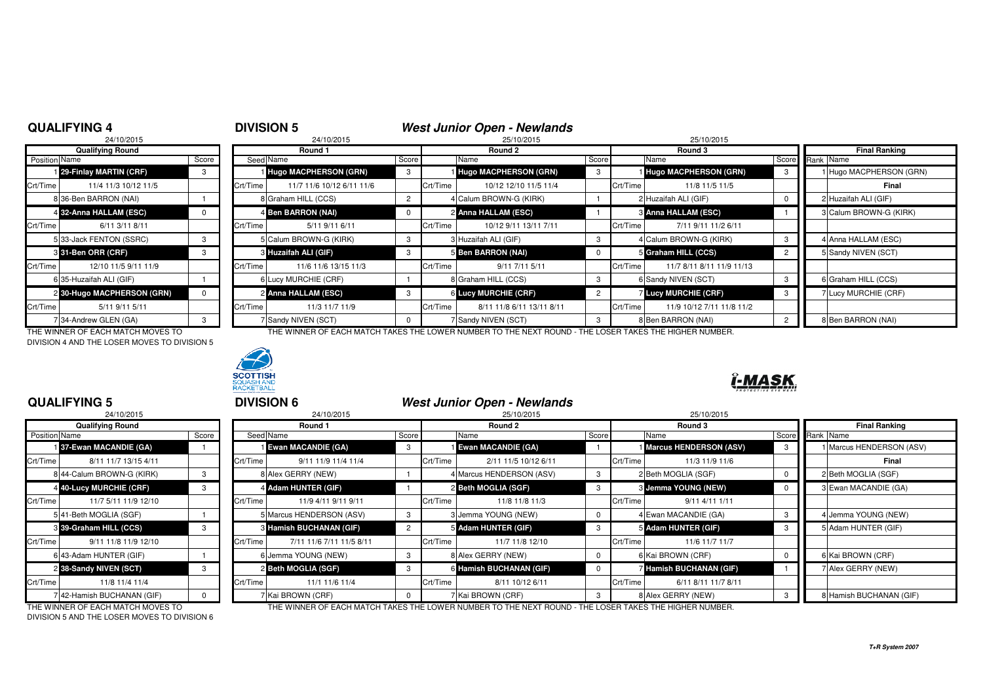### **QUALIFYING 4**

# **4 DIVISION 5**<br><sup>24/10/2015 <sup>24/10/2015</sup> <sup>24/10/2015</sup> <sup>25/10/2015</sup> 25/10/2015 25/10/2015</sup>

### 24/10/2015

|               | <b>Qualifying Round</b>    |       |          |
|---------------|----------------------------|-------|----------|
| Position Name |                            | Score | Seed     |
|               | 129-Finlay MARTIN (CRF)    | 3     |          |
| Crt/Time      | 11/4 11/3 10/12 11/5       |       | Crt/Time |
|               | 8 36-Ben BARRON (NAI)      |       | 8        |
|               | 4 32-Anna HALLAM (ESC)     | O     | 4        |
| Crt/Time      | 6/11 3/11 8/11             |       | Crt/Time |
|               | 5 33-Jack FENTON (SSRC)    | 3     | 5        |
|               | 331-Ben ORR (CRF)          | 3     | 3        |
| Crt/Time      | 12/10 11/5 9/11 11/9       |       | Crt/Time |
|               | 6 35-Huzaifah ALI (GIF)    |       | 6        |
|               | 2 30-Hugo MACPHERSON (GRN) | O     | 2        |
| Crt/Time      | 5/11 9/11 5/11             |       | Crt/Time |
|               | 34-Andrew GLEN (GA)        | 3     |          |

DIVISION 4 AND THE LOSER MOVES TO DIVISION 5



|               | <b>Qualifying Round</b>    |       |          | Round 1                   |       |          | Round 2                     |       |          | Round 3                      |                |           | <b>Final Ranking</b>    |
|---------------|----------------------------|-------|----------|---------------------------|-------|----------|-----------------------------|-------|----------|------------------------------|----------------|-----------|-------------------------|
| Position Name |                            | Score |          | Seed Name                 | Score |          | Name                        | Score |          | Name                         | Score          | Rank Name |                         |
|               | 129-Finlay MARTIN (CRF)    |       |          | Hugo MACPHERSON (GRN)     | -3    |          | Hugo MACPHERSON (GRN)       |       |          | <b>Hugo MACPHERSON (GRN)</b> |                |           | 1 Hugo MACPHERSON (GRN) |
| Crt/Time      | 11/4 11/3 10/12 11/5       |       | Crt/Time | 11/7 11/6 10/12 6/11 11/6 |       | Crt/Time | 10/12 12/10 11/5 11/4       |       | Crt/Time | 11/8 11/5 11/5               |                |           | Final                   |
|               | 8 36-Ben BARRON (NAI)      |       |          | 8 Graham HILL (CCS)       |       |          | 4 Calum BROWN-G (KIRK)      |       |          | 2 Huzaifah ALI (GIF)         |                |           | 2 Huzaifah ALI (GIF)    |
|               | 4 32-Anna HALLAM (ESC)     |       |          | 4 Ben BARRON (NAI)        |       |          | 2 Anna HALLAM (ESC)         |       |          | <b>8 Anna HALLAM (ESC)</b>   |                |           | 3 Calum BROWN-G (KIRK)  |
| Crt/Time      | 6/11 3/11 8/11             |       | Crt/Time | 5/11 9/11 6/11            |       | Crt/Time | 10/12 9/11 13/11 7/11       |       | Crt/Time | 7/11 9/11 11/2 6/11          |                |           |                         |
|               | 533-Jack FENTON (SSRC)     |       |          | 5 Calum BROWN-G (KIRK)    |       |          | Huzaifah ALI (GIF)          | -3    |          | 4 Calum BROWN-G (KIRK)       |                |           | 4 Anna HALLAM (ESC)     |
|               | 3 31-Ben ORR (CRF)         |       |          | 3 Huzaifah ALI (GIF)      |       |          | 5 Ben BARRON (NAI)          |       |          | 5 Graham HILL (CCS)          |                |           | 5 Sandy NIVEN (SCT)     |
| Crt/Time      | 12/10 11/5 9/11 11/9       |       | Crt/Time | 11/6 11/6 13/15 11/3      |       | Crt/Time | 9/11 7/11 5/11              |       | Crt/Time | 11/7 8/11 8/11 11/9 11/13    |                |           |                         |
|               | 6 35-Huzaifah ALI (GIF)    |       |          | 6 Lucy MURCHIE (CRF)      |       |          | Graham HILL (CCS)           |       |          | 6 Sandy NIVEN (SCT)          |                |           | 6 Graham HILL (CCS)     |
|               | 2 30-Hugo MACPHERSON (GRN) |       |          | 2 Anna HALLAM (ESC)       | -3    |          | <b>6 Lucy MURCHIE (CRF)</b> |       |          | <b>Z Lucy MURCHIE (CRF)</b>  |                |           | 7 Lucy MURCHIE (CRF)    |
| Crt/Time      | 5/11 9/11 5/11             |       | Crt/Time | 11/3 11/7 11/9            |       | Crt/Time | 8/11 11/8 6/11 13/11 8/11   |       | Crt/Time | 11/9 10/12 7/11 11/8 11/2    |                |           |                         |
|               | 7 34-Andrew GLEN (GA)      |       |          | 7 Sandy NIVEN (SCT)       |       |          | 7 Sandy NIVEN (SCT)         |       |          | 8 Ben BARRON (NAI)           | $\overline{2}$ |           | 8 Ben BARRON (NAI)      |

THE WINNER OF EACH MATCH MOVES TO THE WINNER OF EACH MATCH TAKES THE LOWER NUMBER TO THE NEXT ROUND - THE LOSER TAKES THE HIGHER NUMBER.



| π<br>л<br>72<br>, | u. |
|-------------------|----|
|                   | 70 |

### **QUALIFYING 5**

|                      | 24/10/2015                 |       |          |
|----------------------|----------------------------|-------|----------|
|                      | <b>Qualifying Round</b>    |       |          |
| <b>Position Name</b> |                            | Score | Seed     |
|                      | 137-Ewan MACANDIE (GA)     |       |          |
| Crt/Time             | 8/11 11/7 13/15 4/11       |       | Crt/Time |
|                      | 8 44-Calum BROWN-G (KIRK)  | 3     | 8        |
|                      | 4 40-Lucy MURCHIE (CRF)    | 3     | 4        |
| Crt/Time             | 11/7 5/11 11/9 12/10       |       | Crt/Time |
|                      | 541-Beth MOGLIA (SGF)      |       | 5        |
|                      | 8 39-Graham HILL (CCS)     | 3     | 3        |
| Crt/Time             | 9/11 11/8 11/9 12/10       |       | Crt/Time |
|                      | 6 43-Adam HUNTER (GIF)     |       | 6        |
|                      | 2 38-Sandy NIVEN (SCT)     | 3     | 2        |
| Crt/Time             | 11/8 11/4 11/4             |       | Crt/Time |
|                      | 7 42-Hamish BUCHANAN (GIF) | 0     | 7        |

<sup>5</sup> **DIVISION 6 West Junior Open - Newlands**

| 24/10/2015                |       | 24/10/2015               |                                                                                                                                                                                                                                                                    |          | 25/10/2015           |                                                                                                                                                                                                          |         | 25/10/2015                                            |                                                                                                                                                                                                            |  |                          |
|---------------------------|-------|--------------------------|--------------------------------------------------------------------------------------------------------------------------------------------------------------------------------------------------------------------------------------------------------------------|----------|----------------------|----------------------------------------------------------------------------------------------------------------------------------------------------------------------------------------------------------|---------|-------------------------------------------------------|------------------------------------------------------------------------------------------------------------------------------------------------------------------------------------------------------------|--|--------------------------|
| <b>Qualifying Round</b>   |       | Round 1                  |                                                                                                                                                                                                                                                                    |          | Round 2              |                                                                                                                                                                                                          | Round 3 |                                                       |                                                                                                                                                                                                            |  | <b>Final Ranking</b>     |
| Position Name             | Score |                          | Score                                                                                                                                                                                                                                                              |          |                      |                                                                                                                                                                                                          |         |                                                       |                                                                                                                                                                                                            |  |                          |
| 137-Ewan MACANDIE (GA)    |       |                          | -3                                                                                                                                                                                                                                                                 |          |                      |                                                                                                                                                                                                          |         |                                                       |                                                                                                                                                                                                            |  | 1 Marcus HENDERSON (ASV) |
| 8/11 11/7 13/15 4/11      |       | 9/11 11/9 11/4 11/4      |                                                                                                                                                                                                                                                                    | Crt/Time | 2/11 11/5 10/12 6/11 |                                                                                                                                                                                                          |         | 11/3 11/9 11/6                                        |                                                                                                                                                                                                            |  | Final                    |
| 8 44-Calum BROWN-G (KIRK) |       |                          |                                                                                                                                                                                                                                                                    |          |                      |                                                                                                                                                                                                          |         |                                                       |                                                                                                                                                                                                            |  | 2 Beth MOGLIA (SGF)      |
| 4 40-Lucy MURCHIE (CRF)   |       |                          |                                                                                                                                                                                                                                                                    |          |                      |                                                                                                                                                                                                          |         |                                                       |                                                                                                                                                                                                            |  | 3 Ewan MACANDIE (GA)     |
| 11/7 5/11 11/9 12/10      |       | 11/9 4/11 9/11 9/11      |                                                                                                                                                                                                                                                                    | Crt/Time | 11/8 11/8 11/3       |                                                                                                                                                                                                          |         | $9/11$ 4/11 1/11                                      |                                                                                                                                                                                                            |  |                          |
| 541-Beth MOGLIA (SGF)     |       |                          |                                                                                                                                                                                                                                                                    |          |                      |                                                                                                                                                                                                          |         |                                                       |                                                                                                                                                                                                            |  | 4 Jemma YOUNG (NEW)      |
| 3 39-Graham HILL (CCS)    |       |                          | 2                                                                                                                                                                                                                                                                  |          |                      |                                                                                                                                                                                                          |         |                                                       |                                                                                                                                                                                                            |  | 5 Adam HUNTER (GIF)      |
| 9/11 11/8 11/9 12/10      |       | 7/11 11/6 7/11 11/5 8/11 |                                                                                                                                                                                                                                                                    | Crt/Time | 11/7 11/8 12/10      |                                                                                                                                                                                                          |         | 11/6 11/7 11/7                                        |                                                                                                                                                                                                            |  |                          |
| 6 43-Adam HUNTER (GIF)    |       |                          | 3                                                                                                                                                                                                                                                                  |          |                      |                                                                                                                                                                                                          |         |                                                       |                                                                                                                                                                                                            |  | 6 Kai BROWN (CRF)        |
| 2 38-Sandy NIVEN (SCT)    |       |                          |                                                                                                                                                                                                                                                                    |          |                      |                                                                                                                                                                                                          |         |                                                       |                                                                                                                                                                                                            |  | 7 Alex GERRY (NEW)       |
| 11/8 11/4 11/4            |       | 11/1 11/6 11/4           |                                                                                                                                                                                                                                                                    | Crt/Time | 8/11 10/12 6/11      |                                                                                                                                                                                                          |         | 6/11 8/11 11/7 8/11                                   |                                                                                                                                                                                                            |  |                          |
| 742-Hamish BUCHANAN (GIF) |       |                          |                                                                                                                                                                                                                                                                    |          |                      |                                                                                                                                                                                                          |         |                                                       |                                                                                                                                                                                                            |  | 8 Hamish BUCHANAN (GIF)  |
|                           |       |                          | Seed Name<br><b>Ewan MACANDIE (GA)</b><br>Crt/Time<br>8 Alex GERRY (NEW)<br>4 Adam HUNTER (GIF)<br>Crt/Time<br>Marcus HENDERSON (ASV)<br><b>8 Hamish BUCHANAN (GIF)</b><br>Crt/Time<br>6 Jemma YOUNG (NEW)<br>2 Beth MOGLIA (SGF)<br>Crt/Time<br>7 Kai BROWN (CRF) |          |                      | Name<br><b>Ewan MACANDIE (GA)</b><br>4 Marcus HENDERSON (ASV)<br>2 Beth MOGLIA (SGF)<br>3 Jemma YOUNG (NEW)<br>5 Adam HUNTER (GIF)<br>8 Alex GERRY (NEW)<br>6 Hamish BUCHANAN (GIF)<br>7 Kai BROWN (CRF) |         | Score<br>Crt/Time<br>Crt/Time<br>Crt/Time<br>Crt/Time | Name<br><b>I Marcus HENDERSON (ASV)</b><br>2 Beth MOGLIA (SGF)<br>3 Jemma YOUNG (NEW)<br>4 Ewan MACANDIE (GA)<br>5 Adam HUNTER (GIF)<br>6 Kai BROWN (CRF)<br>7 Hamish BUCHANAN (GIF)<br>8 Alex GERRY (NEW) |  | Score Rank Name          |

DIVISION 5 AND THE LOSER MOVES TO DIVISION 6

THE WINNER OF EACH MATCH MOVES TO THE WINNER OF EACH MATCH TAKES THE LOWER NUMBER TO THE NEXT ROUND - THE LOSER TAKES THE HIGHER NUMBER.